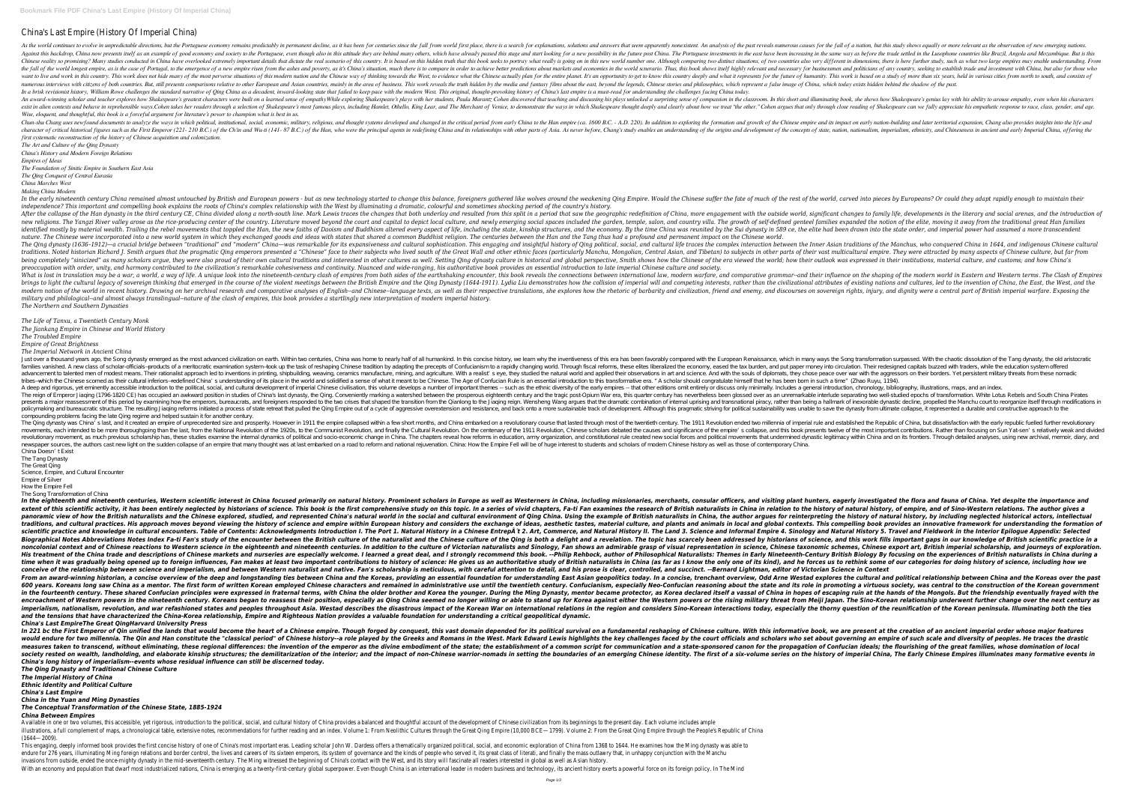# China's Last Empire (History Of Imperial China)

As the world continues to evolve in unpredictable directions, but the Portuguese economy remains predictably in permanent decline, as it has been for centuries since the fall from world first place, there is a search for e one per though also in this dustand mow presents itself as an example of good economy and society to the Portuguese, even though also in this attitude they are behind many others, which have already passed this stage and s Chinese reality so promising? Many studies conducted in China have overlooked extremely important details that dictate the real scenario of this country. It is based on this hidden truth that this book seeks to portray wha the fall of the world longest empire, as is the case of Portugal, to the emergence of a new empire risen from the ashes and poverty, as it's China's situation, much there is to compare in order to achieve better prediction over this work in this country. This work does not hide many of the most perverse situations of this modern nation and the Chinese way of thinking towards the future of humanity. This work is based on a study of more than numerous interviews with citizens of both countries. But, still presents comparisons relative to other European and Asian countries, mainly in the area of business. This work reveals the truth hidden by the media and fanta In a brisk revisionist history, William Rowe challenges the standard narrative of Qing China as a decadent, inward-looking state that failed to keep pace with the modern West. This original, thought-provoking history of Ch An award-winning scholar and teacher explores how Shakespeare's greatest characters were built on a learned sense of empathy While exploring Shakespeare's plays unlocked a surprising sense of compassion in the classroom. I exist in alien contexts and behave in reprehensible ways.Cohen takes her readers through a selection of Shakespeare's most famous plays, including Hamlet, Othello, King Lear, and The Merchant of Venice, to demonstrate the *Wise, eloquent, and thoughtful, this book is a forceful argument for literature's power to champion what is best in us.*

Chun-shu Chang uses newfound documents to analyze the ways in which political, institutional, social, economic, military, religious, and thought systems developed and othanged in the critical period from early nation-build character of critical historical figures such as the First Emperor (221- 210 B.C.) of the Ch'in and Wu-ti (141- 87 B.C.) of the Ch'in and Wu-ti (141- 87 B.C.) of the Han, who were the principal agents in redefining China a *first systematic reconstruction of the history of Chinese acquisition and colonization.*

In the early nineteenth century China remained almost untouched by British and European powers - but as new technology started to change this balance, foreigners aathered like world, carved into pieces by Europeans? Or cou *independence? This important and compelling book explains the roots of China's complex relationship with the West by illuminating a dramatic, colourful and sometimes shocking period of the country's history.* After the collapse of the Han dynasty in the third century CE, China divided along a north-south line. Mark Lewis traces the changes that both underlay and resulted from this split in a period that saw the geographic redef The Yangzi River valley arose as the rice-producing center of the country. Literature moved beyond the count and capital to depict local culture, and newly emerging social spaces included the annilies expanded the notion o identified mostly by material wealth. Trailing the rebel movements that toppled the Han, the new faiths of Daoism and Buddhism altered every aspect of life, including the state, kinship structures, and the economy. By the nature. The Chinese were incorporated into a new world system in which they exchanged goods and ideas with states that shared a common Buddhist religion. The centuries between the Han and the Tang thus had a profound and p The Qing dynasty (1636–1912)—a crucial bridge between "traditional" and "modern" China—was remarkable for its expansiveness and cultural life traces the complex interaction between the Inner Asian traditions of the Manchus traditions. Noted historian Richard J. Smith argues that the pragmatic Qing emperors presented a "Chinese" face to their subjects who lived south of the Great Wall and other parts of their vast multicultural empire. They w being completely "sinicized" as many scholars argue, they were also proud of their own cultural traditions and interested in other cultures as well. Setting Qing dynasty culture in historical and global perspective, Smith preoccupation with order, unity, and harmony contributed to the civilization's remarkable cohesiveness and continuity. Nuanced and wide-ranging, his authoritative book provides an essential introduction to late imperial Ch What is lost in translation may be a war, a world, a way of life. A unique look into the nineteenth-century clash of empires from both sides of the earthshaking encounter, this book reveals the connections between internat brings to light the cultural legacy of sovereign thinking that emerged in the course of the violent meetings between the British Empire and the Civilizational attributes of existing nations and cultures, led to the inventi explores of English--and Chinal Chinal Chinagnon Perugan and comparative and comparative analyses of English--and Chinese--language texts, as well as their respective translations, friend and enemy, and discourses on sover *military and philological--and almost always translingual--nature of the clash of empires, this book provides a startlingly new interpretation of modern imperial history. The Northern and Southern Dynasties*

*The Art and Culture of the Qing Dynasty China's History and Modern Foreign Relations*

*Empires of Ideas*

*The Foundation of Sinitic Empire in Southern East Asia*

*The Qing Conquest of Central Eurasia*

*China Marches West*

*Making China Modern*

Justover a thousand years ago, the Song dynasty emerged as the mostadvanced civilization on earth. Within two centuries, China was home to nearly half of all humankind. In this concise history, we learn why the inventivene families vanished. A new class of scholar-officials—products of a meritocratic examination system—took up the task of reshaping Chinese tradition by adapting the precepts of Confucianism to a rapidly changing world. Throug advancement to talented men of modest means. Their rationalist approach led to inventions in printing, shipbuilding, weaving, ceramics manufacture, mining, and agriculture. With a realist's eye, they chose peace over war w tribes-which the Chinese scorned as their cultural inferiors-redefined China's understanding of its place in the world and solidified a sense of what it meant to be Chinese. The Age of Confucian Rule is an essential introd A deep and rigorous, yeteminently accessible introduction to the political, social, and cultural development of imperial Chinese civilisation, this volume develops a number of important themes -- such as the ethnic diversi The reign of Emperor Jiaqing (1796-1820 CE) has occupied an awkward position in studies of China's last dynasty, the Qing. Conveniently marking a watershed between the prosperous eighteenth century and the tragic post-Opiu presents a major reassessment of this period by examining how the emperors, bureaucrats, and foreigners responded to the two crises that shaped the two crises that shaped the transition from the Qianlong to the Jiaqing rei policymaking and bureaucratic structure. The resulting Jiaqing reforms initiated a process of state retreat that pulled the Qing Empire out of a cycle of aggressive overex tension and resistance, and back onto a more susta compounding problems facing the late Qing regime and helped sustain it for another century.

The Qing dynasty was China's last, and it created an empire of unprecedented size and prosperity. However in 1911 the empire collapsed within a few short months, and China embarked on a revolution ended two millennia of im movements, each intended to be more thoroughgoing than the last, from the National Revolution of the National Revolution of the 1920s, to the Communist Revolution, and finally the Cultural Revolution, and finally the Cultu revolutionary movement, as much previous scholarship has, these studies examine the internal dynamics of political and socio-economic change in China. The chapters reveal how reforms in education, amy organization, ammy or newspaper sources, the authors cast new light on the sudden collapse of an empire that many thought was at last embarked on a road to reform and national rejuvenation. China: How the Empire Fell will be of huge interest to China Doesn't Exist

## *The Life of Tanxu, a Twentieth Century Monk The Jiankang Empire in Chinese and World History The Troubled Empire*

# *Empire of Great Brightness*

### *The Imperial Network in Ancient China*

In the eighteenth and nineteenth centuries, Western scientific interest in China focused primarily on natural history. Prominent scholars in Europe as well as Westerners in China, including missionaries, and visiting plant extent of this scientific activity, it has been entirely neglected by historians of science. This book is the first comprehensive study on this topic. In a series of vivid chapters, Fa-ti Fan examines the history of natura panoramic view of how the British naturalists and the Chinese explored, studied, and represented China's natural world in the social and cultural environment of Qing China. Using the author argues for reinterpreting the hi traditions, and cultural practices. His approach moves beyond viewing the history of science and empire within European history and considers the exchange of ideas, aesthetic tastes, material culture, and plants and animal scientific practice and knowledge in cultural encounters. Table of Contents: Acknowledgments Introduction I. The Port 1. Natural History in a Chinese Entrep t 2. Art, Commerce, and Natural History 5. Travel and Fieldwork Biographical Notes Abbreviations Notes Index Fa-ti Fan's study of the encounter between the British culture of the naturalist and the Chinese culture of the naturalist and a revelation. The topic has scarcely been addresse noncolonial context and of Chinese reactions to Western science in the eighteenth and nineteenth and nineteenth centuries. In addition to the culture of Victorian naturalists and Sinology, Fan shows an admirable grasp of v His treatment of the China trade and descriptions of Chinese markets and nurseries are especially welcome. I learned a great deal, and I strongly recommend this book. --Philip Rehbock, author of Philosophical Naturalists: time when it was gradually being opened up to foreign influences, Fan makes at least two important contributions to history of science: He gives us an authoritative study of British naturalists in China (as far as I know t conceive of the relationship between science and imperialism, and between Western naturalist and native. Fan's scholarship is meticulous, with careful attention to detail, and his prose is clear, controlled, and succinct. From an award-winning historian, a concise overview of the deep and longstanding ties between China and the Koreas, providing an essential foundation for understanding East Asian geopolitics today. In a concise, trenchant 600 years. Koreans long saw China as a mentor. The first form of written Korean employed Chinese characters and remained in administrative use until the state and its role in promoting a virtuous society, was central to th in the fourteenth century. These shared Confucian principles were expressed in fraternal terms, with China the older brother and Korea the younger. During the Ming Dynasty, mentor became protector, as Korea declared itself encroachment of Western powers in the nineteenth century. Koreans began to reassess their position, especially as Qing China seemed no longer willing or able to stand up for Korea against either the Nigil Japan. The Sino-K imperialism, nationalism, revolution, and war refashioned states and peoples throughout Asia. Westad describes the disastrous impact of the Korean War on international relations in the region and considers Sino-Korean inte *and the tensions that have characterized the China-Korea relationship, Empire and Righteous Nation provides a valuable foundation for understanding a critical geopolitical dynamic. China's Last EmpireThe Great QingHarvard University Press*

In 221 bc the First Emperor of Qin unified the lands that would become the heart of a Chinese empire. Though forged by conquest, this vast domain depended for its political survival on a fundamental reshaping of Chinese cu would endure for two millennia. The Qin and Han constitute the "classical period" of Chinese history--a role played by the Greeks and Romans in the West. Mark Edward Lewis highlights the key challenges faced by the Greeks measures taken to transcend, without eliminating, these regional differences: the invention of the emperor as the divine embodiment of a common script for communication and a state-sponsored canon for the propagation of Co society rested on wealth, landholding, and elaborate kinship structures; the demilitarization of the interior; and the impact of non-Chinese warrior-nomads in setting the history of imperial China, The Early Chinese Empire *China's long history of imperialism--events whose residual influence can still be discerned today. The Qing Dynasty and Traditional Chinese Culture*

Available in one or two volumes, this accessible, yet rigorous, introduction to the political, social, and cultural history of China provides a balanced and thoughtful account of the development of Chinese civilization fro illustrations, a full complement of maps, a chronological table, extensive notes, recommendations for further reading and an index. Volume 1: From Neolithic Cultures through the Great Qing Empire (10,000 BCE—1799). Volume (1644—2009).

This engaging, deeply informed book provides the first concise history of one of China's most important eras. Leading scholar John W. Dardess offers a thematically organized political, social, and economic exploration of C endure for 276 years, illuminating Ming foreign relations and border control, the lives and careers of its sixteen emperors, its system of governance and the kinds of people who served it, its great class of literati, and invasions from outside, ended the once-mighty dynasty in the mid-seventeenth century. The Ming witnessed the beginning of China's contact with the West, and its story will fascinate all readers interested in global as well With an economy and population that dwarf most industrialized nations, China is emerging as a twenty-first-century global superpower. Even though China is an international leader in modern business and technology, its anci

The Tang Dynasty

The Great Qing

Science, Empire, and Cultural Encounter

Empire of Silver

How the Empire Fell

The Song Transformation of China

*The Imperial History of China*

*Ethnic Identity and Political Culture China's Last Empire*

*China in the Yuan and Ming Dynasties*

*The Conceptual Transformation of the Chinese State, 1885-1924*

*China Between Empires*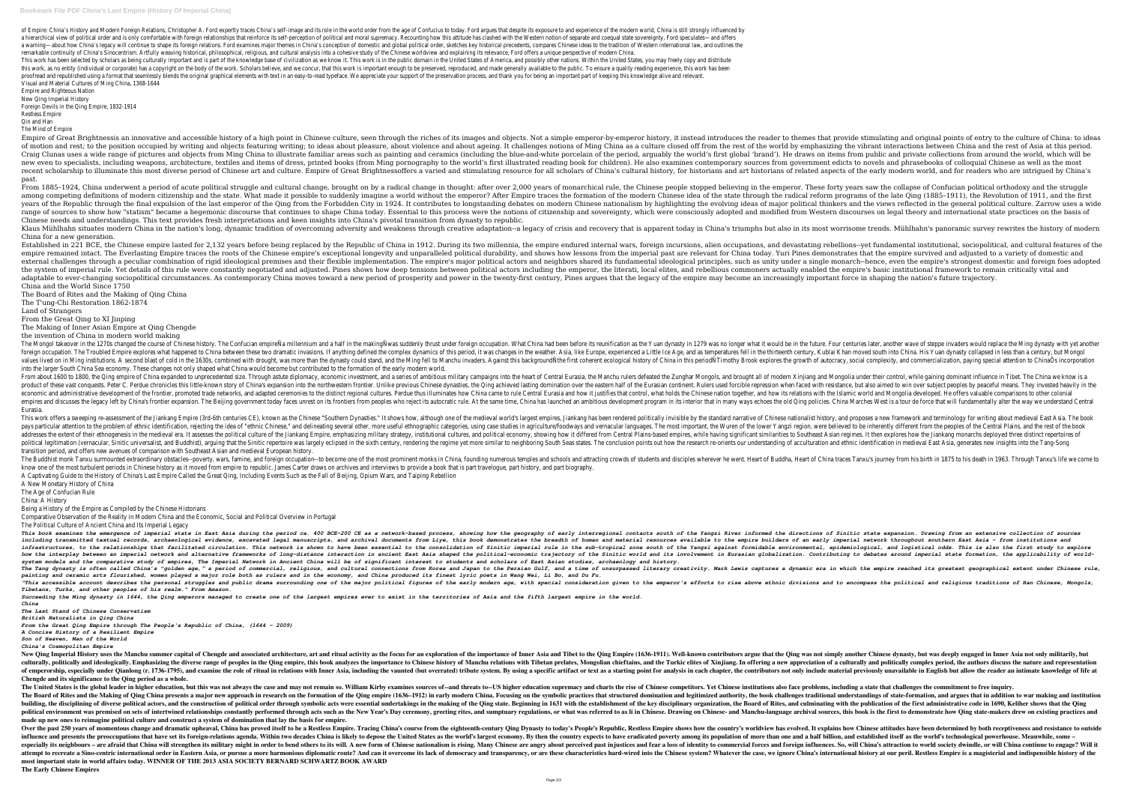of Empire: China's History and Modern Foreign Relations, Christopher A. Ford expertly traces China's self-image and its role in the world order from the age of Confucius to today. Ford argues that despite its exposure to a a hierarchical view of political order and is only comfortable with foreign relationships that reinforce its self-perception of political and moral supremacy. Recounting how this attitude has clashed with the Western notio a warning—about how China's legacy will continue to shape its foreign relations. Ford examines major themes in China's conception of domestic and global political order, sketches key historical precedents, compares Chinese remarkable continuity of China's Sinocentrism. Artfully weaving historical, philosophical, religious, and cultural analysis into a cohesive study of the Chinese worldview and explaining its relevance, Ford offers a unique This work has been selected by scholars as being culturally important and is part of the knowledge base of civilization as we know it. This work is in the public domain in the United States of America, and possibly other n this work, as no entity (individual or corporate) has a copyright on the body of the work. Scholars believe, and we concur, that this work is important enough to be preserved, reproduced, and made generally available to th proofread and republished using a format that seamlessly blends the original graphical elements with text in an easy-to-read typeface. We appreciate your support of the preservation process, and thank you for being an impo Visual and Material Cultures of Ming China, 1368-1644

Empire of Great Brightnessis an innovative and accessible history of a high point in Chinese culture, seen through the riches of its images and objects. Not a simple emperor-by-emperor history, it instead introduces the re of motion and rest; to the position occupied by writing and objects featuring writing; to ideas about pleasure, about violence and about ageing. It challenges notions of Ming China as a culture closed off from the rest of Craig Clunas uses a wide range of pictures and objects from Ming China to illustrate familiar areas such as painting and ceramics (including the blue-and-white porcelain of the period, arguably the world's first global 'br new even to specialists, including weapons, architecture, textiles and items of dress, printed books (from Ming pornography to the world's first illustrated reading book for children). He also examines contemporary sources recent scholarship to illuminate this most diverse period of Chinese art and culture. Empire of Great Brightnessoffers a varied and stimulating resource for all scholars of related aspects of the early modern world, and fo past.

Empire and Righteous Nation

New Qing Imperial History Foreign Devils in the Qing Empire, 1832-1914

Restless Empire

Qin and Han

The Mind of Empire

From 1885–1924, China underwent a period of acute political struggle and cultural change, brought on by a radical change in thought: after over 2,000 years of monarchical rule, the Chinese people stopped believing in the e among competing definitions of modern citizenship and the state. What made it possible to suddenly imagine a world without the emperor? After Empire traces the formation of the state through the radical reform programs of vears of the Republic through the final expulsion of the last emperor of the Oing from the Forbidden City in 1924. It contributes to longstanding debates on modern Chinese nationalism by highlighting the evolving ideas of range of sources to show how "statism" became a hegemonic discourse that continues to shape China today. Essential to this process were the notions of citizenship and sovereignty, which were consciously adopted and modifie Chinese needs and understandings. This text provides fresh interpretations and keen insights into China's pivotal transition from dynasty to republic. Klaus Mühlhahn situates modern China in the nation's long, dynamic tradition of overcoming adversity and weakness through creative adaptation--a legacy of crisis and recovery that is apparent today in China's triumphs but China for a new generation.

Established in 221 BCE, the Chinese empire lasted for 2,132 years before being replaced by the Republic of China in 1912. During its two millennia, the empire endured internal wars, foreign incursions, and devastating rebe empire remained intact. The Everlasting Empire traces the roots of the Chinese empire's exceptional longevity and unparalleled political durability, and shows how lessons from the imperial past are relevant for China today external challenges through a peculiar combination of rigid ideological premises and their flexible implementation. The empire's major political actors and neighbors shared its fundamental ideological principles, such as u the system of imperial rule. Yet details of this rule were constantly negotiated and adjusted. Pines shows how deep tensions between political actors including the emperor, the literati, local elites, and rebellious common adaptable to ever-changing sociopolitical circumstances. As contemporary China moves toward a new period of prosperity and power in the twenty-first century. Pines argues that the legacy of the empire may become an increas China and the World Since 1750

The Mongol takeover in the 1270s changed the course of Chinese history. The Confucian empireÑa millennium and a half in the makingÑwas suddenly thrust under foreign occupation. What China had been before its reunification foreign occupation. The Troubled Empire explores what happened to China between these two dramatic invasions. If anything defined the complex dynamics of this period, it was changes in the thirteenth century, Kublai Khan m values lived on in Ming institutions. A second blast of cold in the 1630s, combined with drought, was more than the dynasty could stand, and the Ming fell to Manchu invaders. Against this backgroundÑthe first coherent ecol into the larger South China Sea economy. These changes not only shaped what China would become but contributed to the formation of the early modern world. From about 1600 to 1800, the Qing empire of China expanded to unprecedented size. Through astute diplomacy, economic investment, and a series of ambitious military campaigns into the heart of Central Eurasia, the Manchu ru product of these vast conquests. Peter C. Perdue chronicles this little-known story of China's expansion into the northwestern frontier. Unlike previous Chinese dynasties, the Qinq achieved lasting domination over the east economic and administrative development of the frontier, promoted trade networks, and adapted ceremonies to the distinct regional cultures. Perdue thus illuminates how its relations with the Islamic world and Mongolia deve empires and discusses the legacy left by China's frontier expansion. The Beijing government today faces unrest on its frontiers from peoples who reject its autocratic rule. At the same time, China Marcha Marches West is a Eurasia.

This work offers a sweeping re-assessment of the Jiankang Empire (3rd-6th centuries CE), known as the Chinese "Southern Dynasties." It shows how, although one of the medieval world's largest empires, Jiankang has been rend articular attention to the problem of ethnic identification, rejecting the idea of "ethnic Chinese," and delineating several other, more useful ethnographic categories, using case studies in agriculture/foodways and vernac addresses the extent of their ethnogenesis in the medieval era. It assesses the political culture of the Jiankang Empire, emphasizing military strategy, institutional cultures, and political economy, showing how it differe political legitimation (vernacular, Sinitic universalist, and Buddhist), arguing that the Sinitic repertoire was largely eclipsed in the sixth century, rendering the research re-orients our understanding of acculturation a transition period, and offers new avenues of comparison with Southeast Asian and medieval European history.

The Buddhist monk Tanxu surmounted extraordinary obstacles--poverty, wars, famine, and foreign occupation--to become one of the most prominent monks in China, founding numerous temples and attracting crowds of students and know one of the most turbulent periods in Chinese history as it moved from empire to republic. James Carter draws on archives and interviews to provide a book that is part travelogue, part history, and part biography. A Captivating Guide to the History of China's Last Empire Called the Great Qing, Including Events Such as the Fall of Beijing, Opium Wars, and Taiping Rebellion A New Monetary History of China

The Board of Rites and the Making of Qing China

The T'ung-Chi Restoration 1862-1874

Land of Strangers

From the Great Qing to XI Jinping

The Making of Inner Asian Empire at Qing Chengde

the invention of China in modern world making

This book examines the emergence of imperial state in East Asia during the period ca. 400 BCE-200 CE as a network-based process, showing how the geography of early interregional contacts south of the Yangzi River informed including transmitted textual records, archaeological evidence, excavated legal manuscripts, and archival documents from Liye, this book demonstrates the breadth of human and material resources available to the empire buil infrastructures, to the relationships that facilitated circulation. This network is shown to have been essential to the consolidation of Sinitic imperial rule in the sub-tropical zone south of the consolidation of Sinitic how the interplay between an imperial network and alternative frameworks of long-distance interaction in ancient East Asia shaped the political-economic trajectory of the Sinitic world and its involvement in Eurasian globa *system models and the comparative study of empires, The Imperial Network in Ancient China will be of significant interest to students and scholars of East Asian studies, archaeology and history.* The Tang dynasty is often called China's "golden age," a period of commercial, religious, and cultural connections from Korea and Japan to the Persian Gulf, and a time of unsurpassed literary creativity. Mark Lewis capture *painting and ceramic arts flourished, women played a major role both as rulers and in the economy, and China produced its finest lyric poets in Wang Wei, Li Bo, and Du Fu.* "This accessible account describes the personal struggles and public drama surrounding one of the major political figures of the early modern age, with special consideration given to the early modern age, with special cons *Tibetans, Turks, and other peoples of his realm." From Amazon.*

New Qing Imperial History uses the Manchu summer capital of Chengde and associated architecture, art and ritual activity as the focus for an exploration of the importance of Imper Asia and Tibet to the Qing was not simply culturally, politically and ideologically. Emphasizing the diverse range of peoples in the Qing empire, this book analyzes the importance to Chinese history of Manchu relations with Tibetan prelates, Mongolian chieftains, of emperorship, especially under Qianlong (r. 1736-1795), and examine the role of ritual in relations with Inner Asia, including the vaunted (but overrated) tribute system. By using a specific artifact or text as a startin **Chengde and its significance to the Qing period as a whole.**

The United States is the global leader in higher education, but this was not always the case and may not remain so. William Kirby examines sources of--and threats to--US higher education supremacy and charts the rise of Ch The Board of Rites and the Making of Qing China presents a major new approach in research on the formation of the Qing empire (1636–1912) in early modern China. Focusing on the symbolic practices that structured domination building, the disciplining of diverse political actors, and the construction of political order through symbolic acts were essential undertakings in the making of the key disciplinary organization, the Board of Rites, and political environment was premised on sets of intertwined relationships constantly performed through acts such as the New Year's Day ceremony, greeting rites, and sumptuary regulations, or what was referred to as li in Chi **made up new ones to reimagine political culture and construct a system of domination that lay the basis for empire.**

Over the past 250 years of momentous change and dramatic upheaval, China has proved itself to be a Restless Empire. Tracing China's course from the eighteenth-century Qing Dynasty to today's People's Republic, Restless Emp influence and presents the preoccupations that have set its foreign-relations agenda. Within two decades China is likely to depose the United States as the world's largest economy. By then the country expects to have eradi especially its neighbours – are afraid that China will strengthen its military might in order to bend others to its will. A new form of Chinese are angry about perceived past injustices and foreign influences. So, will Chi attempt to recreate a Sino-centric international order in Eastern Asia. or pursue a more harmonious diplomatic route? And can it overcome its lack of democracy and transparency, or are these system? Whatever the case, we i **most important state in world affairs today. WINNER OF THE 2013 ASIA SOCIETY BERNARD SCHWARTZ BOOK AWARD The Early Chinese Empires**

The Age of Confucian Rule

China: A History

Being a History of the Empire as Compiled by the Chinese Historians

Comparative Observation of the Reality in Modern China and the Economic, Social and Political Overview in Portugal

The Political Culture of Ancient China and Its Imperial Legacy

*Succeeding the Ming dynasty in 1644, the Qing emperors managed to create one of the largest empires ever to exist in the territories of Asia and the fifth largest empire in the world. China*

*The Last Stand of Chinese Conservatism*

*British Naturalists in Qing China From the Great Qing Empire through The People's Republic of China, (1644 - 2009)*

*A Concise History of a Resilient Empire*

*Son of Heaven, Man of the World*

*China's Cosmopolitan Empire*